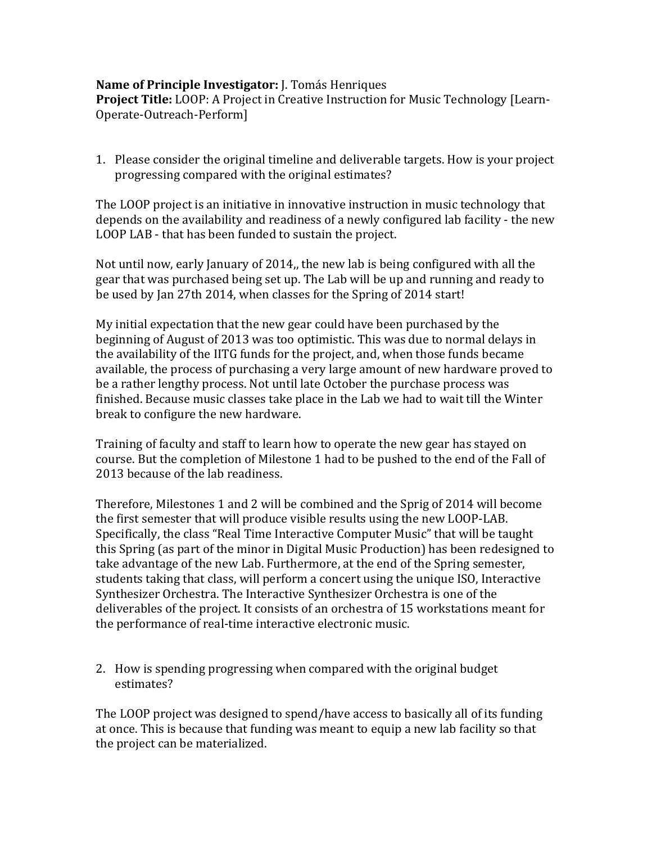## **Name of Principle Investigator:** J. Tomás Henriques

**Project Title:** LOOP: A Project in Creative Instruction for Music Technology [Learn-Operate-Outreach-Perform]

1. Please consider the original timeline and deliverable targets. How is your project progressing compared with the original estimates?

The LOOP project is an initiative in innovative instruction in music technology that depends on the availability and readiness of a newly configured lab facility - the new LOOP LAB - that has been funded to sustain the project.

Not until now, early January of 2014,, the new lab is being configured with all the gear that was purchased being set up. The Lab will be up and running and ready to be used by Ian 27th 2014, when classes for the Spring of 2014 start!

My initial expectation that the new gear could have been purchased by the beginning of August of 2013 was too optimistic. This was due to normal delays in the availability of the IITG funds for the project, and, when those funds became available, the process of purchasing a very large amount of new hardware proved to be a rather lengthy process. Not until late October the purchase process was finished. Because music classes take place in the Lab we had to wait till the Winter break to configure the new hardware.

Training of faculty and staff to learn how to operate the new gear has stayed on course. But the completion of Milestone 1 had to be pushed to the end of the Fall of 2013 because of the lab readiness.

Therefore, Milestones 1 and 2 will be combined and the Sprig of 2014 will become the first semester that will produce visible results using the new LOOP-LAB. Specifically, the class "Real Time Interactive Computer Music" that will be taught this Spring (as part of the minor in Digital Music Production) has been redesigned to take advantage of the new Lab. Furthermore, at the end of the Spring semester, students taking that class, will perform a concert using the unique ISO, Interactive Synthesizer Orchestra. The Interactive Synthesizer Orchestra is one of the deliverables of the project. It consists of an orchestra of 15 workstations meant for the performance of real-time interactive electronic music.

2. How is spending progressing when compared with the original budget estimates?

The LOOP project was designed to spend/have access to basically all of its funding at once. This is because that funding was meant to equip a new lab facility so that the project can be materialized.